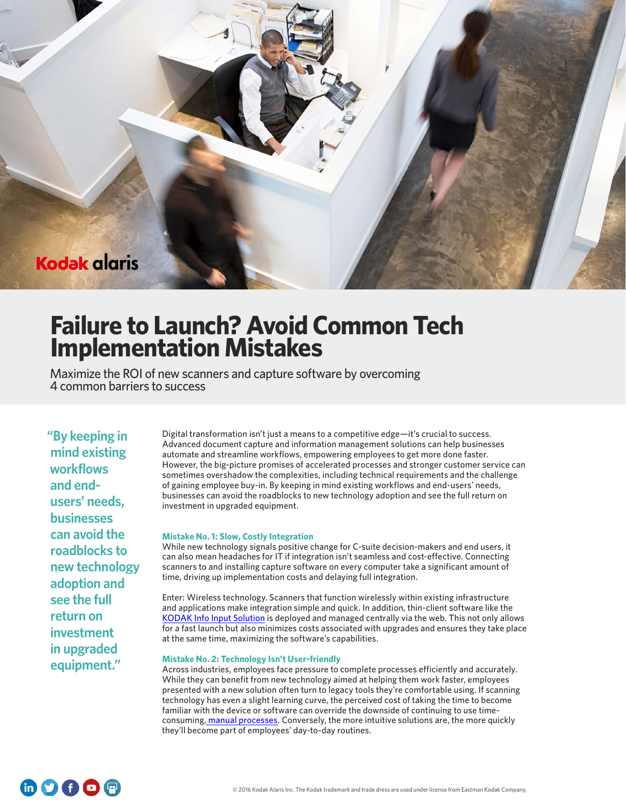

# **Failure to Launch? Avoid Common Tech Implementation Mistakes**

Maximize the ROI of new scanners and capture software by overcoming 4 common barriers to success

**"By keeping in mind existing workflows and endusers' needs, businesses can avoid the roadblocks to new technology adoption and see the full return on investment in upgraded equipment."** 

Digital transformation isn't just a means to a competitive edge—it's crucial to success. Advanced document capture and information management solutions can help businesses automate and streamline workflows, empowering employees to get more done faster. However, the big-picture promises of accelerated processes and stronger customer service can sometimes overshadow the complexities, including technical requirements and the challenge of gaining employee buy-in. By keeping in mind existing workflows and end-users' needs, businesses can avoid the roadblocks to new technology adoption and see the full return on investment in upgraded equipment.

## **Mistake No. 1: Slow, Costly Integration**

While new technology signals positive change for C-suite decision-makers and end users, it can also mean headaches for IT if integration isn't seamless and cost-effective. Connecting scanners to and installing capture software on every computer take a significant amount of time, driving up implementation costs and delaying full integration.

Enter: Wireless technology. Scanners that function wirelessly within existing infrastructure and applications make integration simple and quick. In addition, thin-client software like the [KODAK Info Input Solution](http://content.solutions.kodakalaris.com/kodak-info-input-solution-product-guide) is deployed and managed centrally via the web. This not only allows for a fast launch but also minimizes costs associated with upgrades and ensures they take place at the same time, maximizing the software's capabilities.

## **Mistake No. 2: Technology Isn't User-friendly**

Across industries, employees face pressure to complete processes efficiently and accurately. While they can benefit from new technology aimed at helping them work faster, employees presented with a new solution often turn to legacy tools they're comfortable using. If scanning technology has even a slight learning curve, the perceived cost of taking the time to become familiar with the device or software can override the downside of continuing to use timeconsuming, [manual processes.](http://solutions.kodakalaris.com/financial-services/insights/the-hidden-cost-killing-the-bottom-line) Conversely, the more intuitive solutions are, the more quickly they'll become part of employees' day-to-day routines.